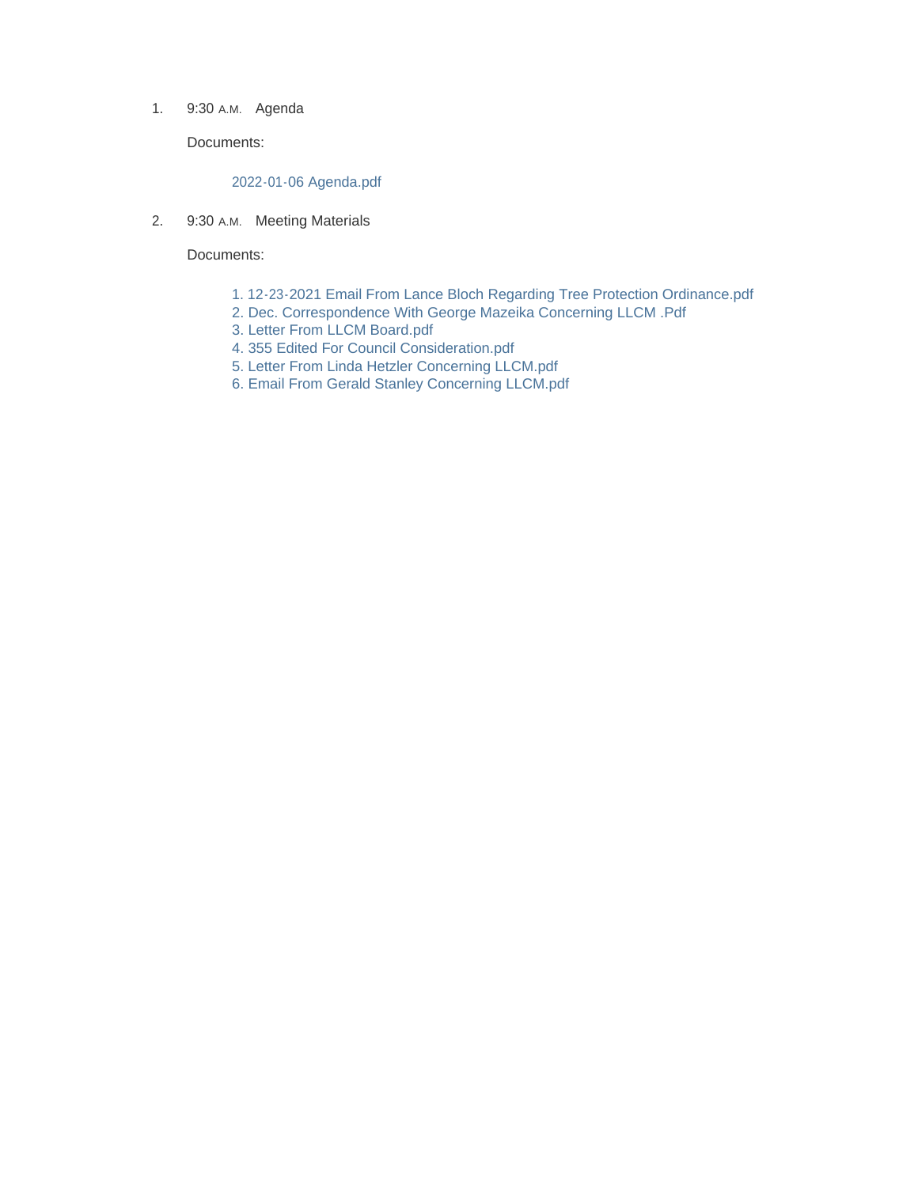1. 9:30 A.M. Agenda

Documents:

#### 2022-01-06 Agenda.pdf

2. 9:30 A.M. Meeting Materials

Documents:

- 1. 12-23-2021 Email From Lance Bloch Regarding Tree Protection Ordinance.pdf
- 2. Dec. Correspondence With George Mazeika Concerning LLCM .Pdf
- 3. Letter From LLCM Board.pdf
- 4. 355 Edited For Council Consideration.pdf
- 5. Letter From Linda Hetzler Concerning LLCM.pdf
- 6. Email From Gerald Stanley Concerning LLCM.pdf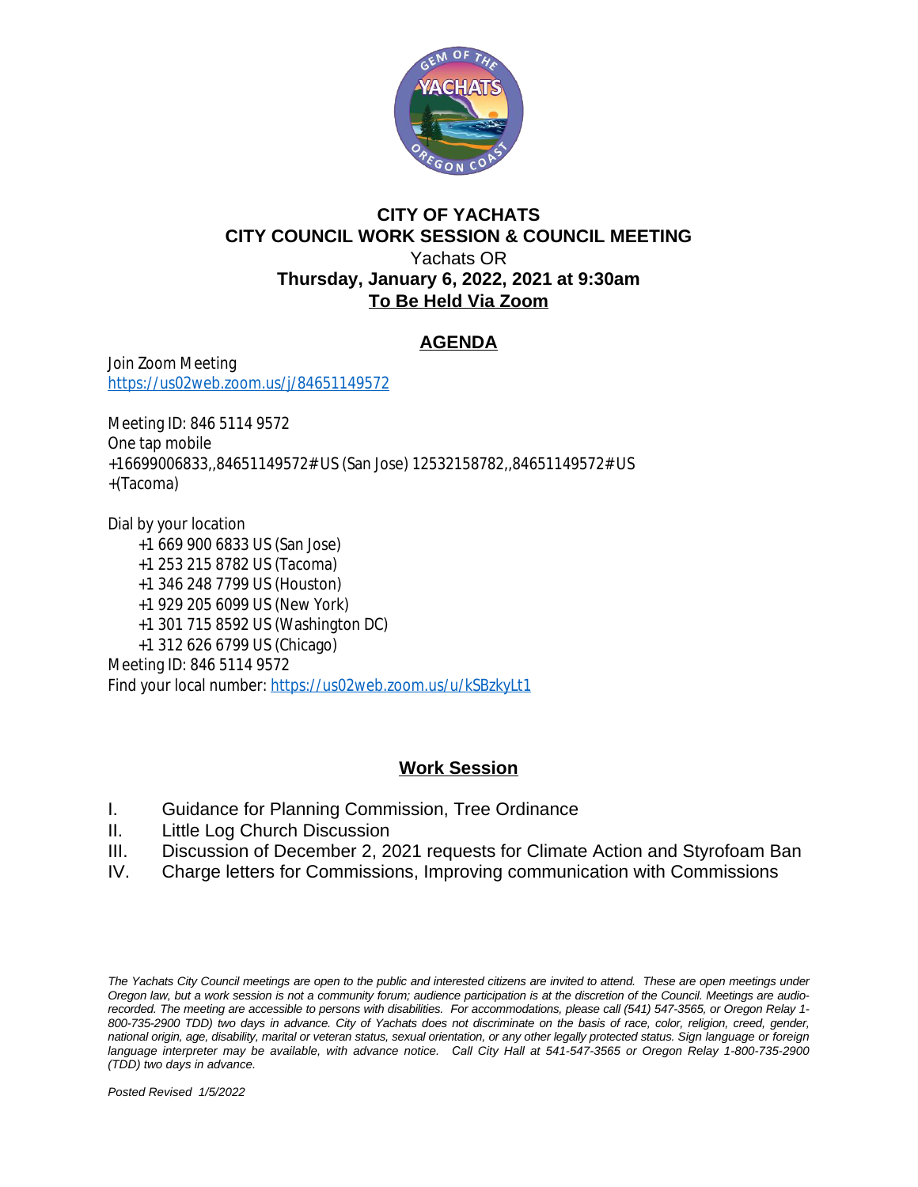

### **CITY OF YACHATS CITY COUNCIL WORK SESSION & COUNCIL MEETING** Yachats OR **Thursday, January 6, 2022, 2021 at 9:30am To Be Held Via Zoom**

### **AGENDA**

Join Zoom Meeting <https://us02web.zoom.us/j/84651149572>

Meeting ID: 846 5114 9572 One tap mobile +16699006833,,84651149572# US (San Jose) 12532158782,,84651149572# US +(Tacoma)

Dial by your location +1 669 900 6833 US (San Jose) +1 253 215 8782 US (Tacoma) +1 346 248 7799 US (Houston) +1 929 205 6099 US (New York) +1 301 715 8592 US (Washington DC) +1 312 626 6799 US (Chicago) Meeting ID: 846 5114 9572 Find your local number: <https://us02web.zoom.us/u/kSBzkyLt1>

### **Work Session**

- I. Guidance for Planning Commission, Tree Ordinance
- II. Little Log Church Discussion
- III. Discussion of December 2, 2021 requests for Climate Action and Styrofoam Ban
- IV. Charge letters for Commissions, Improving communication with Commissions

The Yachats City Council meetings are open to the public and interested citizens are invited to attend. These are open meetings under Oregon law, but a work session is not a community forum; audience participation is at the discretion of the Council. Meetings are audiorecorded. The meeting are accessible to persons with disabilities. For accommodations, please call (541) 547-3565, or Oregon Relay 1-800-735-2900 TDD) two days in advance. City of Yachats does not discriminate on the basis of race, color, religion, creed, gender, national origin, age, disability, marital or veteran status, sexual orientation, or any other legally protected status. Sign language or foreign language interpreter may be available, with advance notice. Call City Hall at 541-547-3565 or Oregon Relay 1-800-735-2900 *(TDD) two days in advance.* 

*Posted Revised 1/5/2022*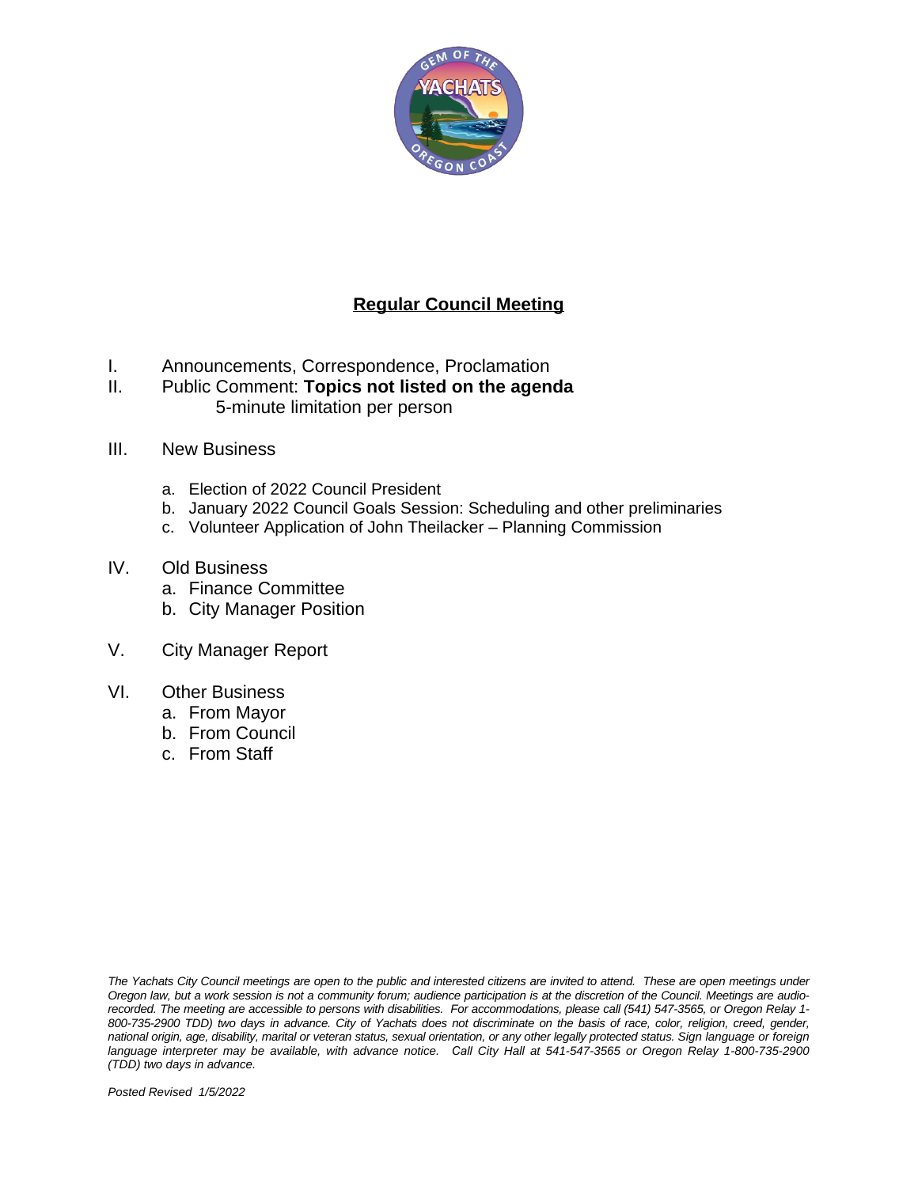

### **Regular Council Meeting**

- I. Announcements, Correspondence, Proclamation
- II. Public Comment: **Topics not listed on the agenda** 5-minute limitation per person
- III. New Business
	- a. Election of 2022 Council President
	- b. January 2022 Council Goals Session: Scheduling and other preliminaries
	- c. Volunteer Application of John Theilacker Planning Commission
- IV. Old Business
	- a. Finance Committee
	- b. City Manager Position
- V. City Manager Report
- VI. Other Business
	- a. From Mayor
	- b. From Council
	- c. From Staff

The Yachats City Council meetings are open to the public and interested citizens are invited to attend. These are open meetings under Oregon law, but a work session is not a community forum; audience participation is at the discretion of the Council. Meetings are audiorecorded. The meeting are accessible to persons with disabilities. For accommodations, please call (541) 547-3565, or Oregon Relay 1-800-735-2900 TDD) two days in advance. City of Yachats does not discriminate on the basis of race, color, religion, creed, gender, national origin, age, disability, marital or veteran status, sexual orientation, or any other legally protected status. Sign language or foreign language interpreter may be available, with advance notice. Call City Hall at 541-547-3565 or Oregon Relay 1-800-735-2900 *(TDD) two days in advance.*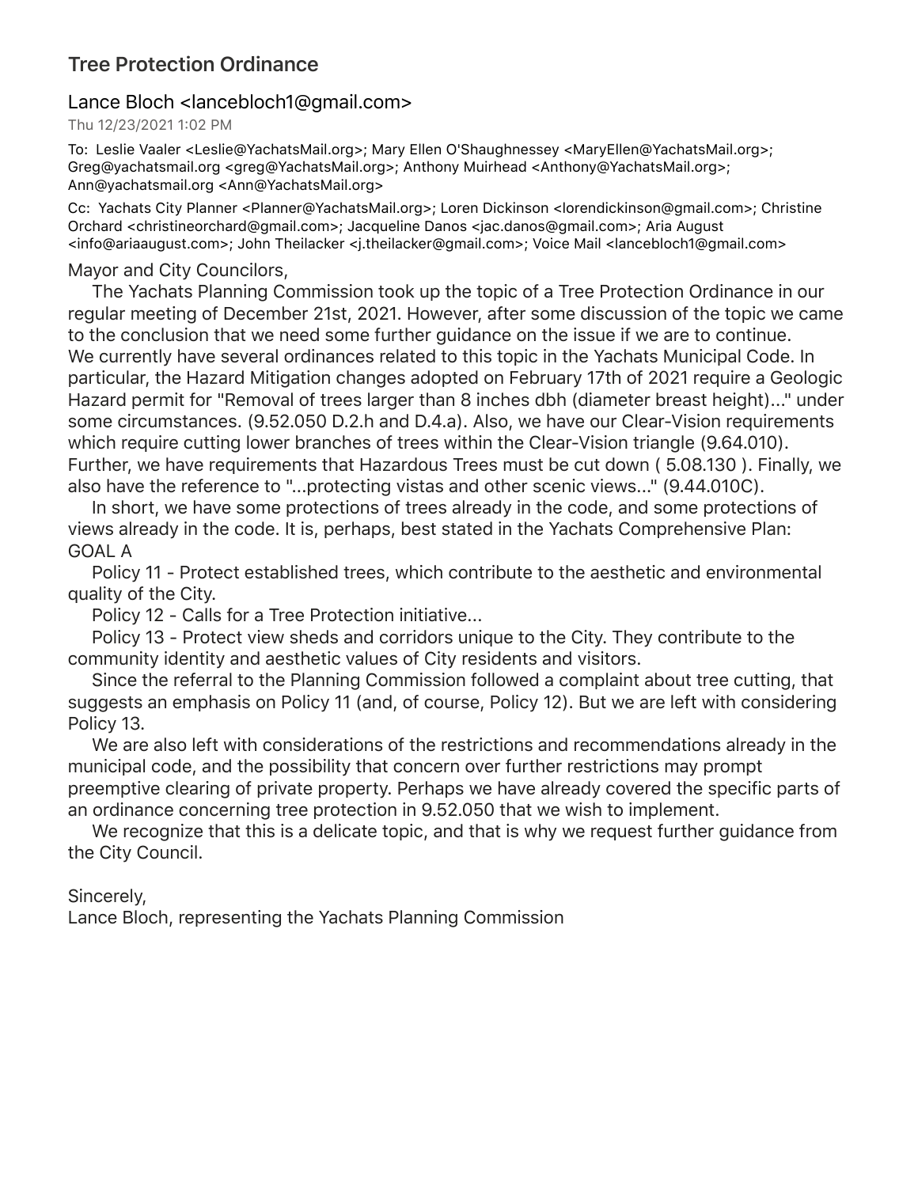# **Tree Protection Ordinance**

### Lance Bloch <lancebloch1@gmail.com>

### Thu 12/23/2021 1:02 PM

To: Leslie Vaaler <Leslie@YachatsMail.org>; Mary Ellen O'Shaughnessey <MaryEllen@YachatsMail.org>; Greg@yachatsmail.org <greg@YachatsMail.org>; Anthony Muirhead <Anthony@YachatsMail.org>; Ann@yachatsmail.org <Ann@YachatsMail.org>

Cc: Yachats City Planner <Planner@YachatsMail.org>; Loren Dickinson <lorendickinson@gmail.com>; Christine Orchard <christineorchard@gmail.com>; Jacqueline Danos <jac.danos@gmail.com>; Aria August <info@ariaaugust.com>; John Theilacker <j.theilacker@gmail.com>; Voice Mail <lancebloch1@gmail.com>

### Mayor and City Councilors,

 The Yachats Planning Commission took up the topic of a Tree Protection Ordinance in our regular meeting of December 21st, 2021. However, after some discussion of the topic we came to the conclusion that we need some further guidance on the issue if we are to continue. We currently have several ordinances related to this topic in the Yachats Municipal Code. In particular, the Hazard Mitigation changes adopted on February 17th of 2021 require a Geologic Hazard permit for "Removal of trees larger than 8 inches dbh (diameter breast height)..." under some circumstances. (9.52.050 D.2.h and D.4.a). Also, we have our Clear-Vision requirements which require cutting lower branches of trees within the Clear-Vision triangle (9.64.010). Further, we have requirements that Hazardous Trees must be cut down ( 5.08.130 ). Finally, we also have the reference to "...protecting vistas and other scenic views..." (9.44.010C).

 In short, we have some protections of trees already in the code, and some protections of views already in the code. It is, perhaps, best stated in the Yachats Comprehensive Plan: GOAL A

 Policy 11 - Protect established trees, which contribute to the aesthetic and environmental quality of the City.

Policy 12 - Calls for a Tree Protection initiative...

 Policy 13 - Protect view sheds and corridors unique to the City. They contribute to the community identity and aesthetic values of City residents and visitors.

 Since the referral to the Planning Commission followed a complaint about tree cutting, that suggests an emphasis on Policy 11 (and, of course, Policy 12). But we are left with considering Policy 13.

 We are also left with considerations of the restrictions and recommendations already in the municipal code, and the possibility that concern over further restrictions may prompt preemptive clearing of private property. Perhaps we have already covered the specific parts of an ordinance concerning tree protection in 9.52.050 that we wish to implement.

 We recognize that this is a delicate topic, and that is why we request further guidance from the City Council.

Sincerely,

Lance Bloch, representing the Yachats Planning Commission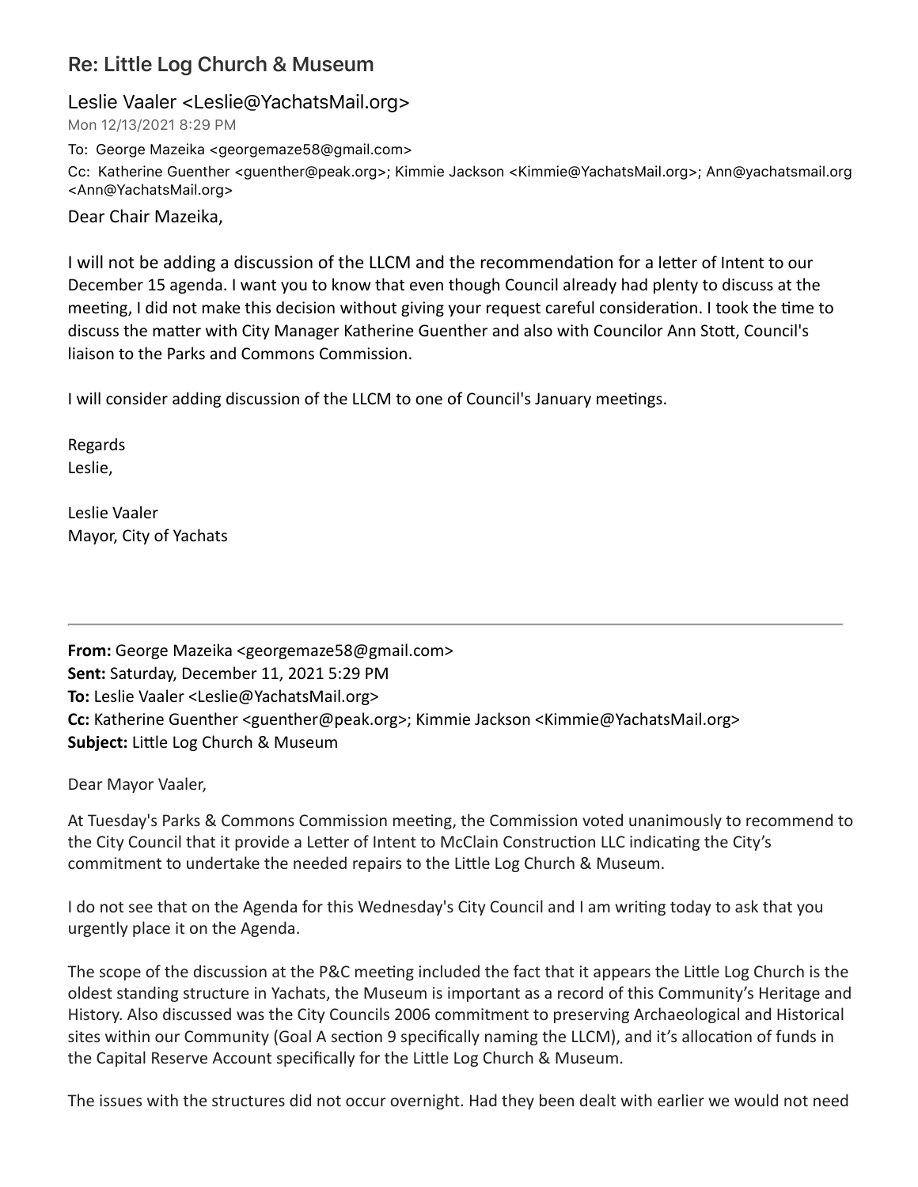# **Re: Little Log Church & Museum**

### Leslie Vaaler <Leslie@YachatsMail.org>

Mon 12/13/2021 8:29 PM

To: George Mazeika <georgemaze58@gmail.com>

Cc: Katherine Guenther <guenther@peak.org>; Kimmie Jackson <Kimmie@YachatsMail.org>; Ann@yachatsmail.org <Ann@YachatsMail.org>

Dear Chair Mazeika,

I will not be adding a discussion of the LLCM and the recommendation for a letter of Intent to our December 15 agenda. I want you to know that even though Council already had plenty to discuss at the meeting, I did not make this decision without giving your request careful consideration. I took the time to discuss the matter with City Manager Katherine Guenther and also with Councilor Ann Stott, Council's liaison to the Parks and Commons Commission.

I will consider adding discussion of the LLCM to one of Council's January meetings.

Regards Leslie,

Leslie Vaaler Mayor, City of Yachats

**From:** George Mazeika <georgemaze58@gmail.com> **Sent:** Saturday, December 11, 2021 5:29 PM **To:** Leslie Vaaler <Leslie@YachatsMail.org> **Cc:** Katherine Guenther <guenther@peak.org>; Kimmie Jackson <Kimmie@YachatsMail.org> **Subject:** Little Log Church & Museum

Dear Mayor Vaaler,

At Tuesday's Parks & Commons Commission meeting, the Commission voted unanimously to recommend to the City Council that it provide a Letter of Intent to McClain Construction LLC indicating the City's commitment to undertake the needed repairs to the Little Log Church & Museum.

I do not see that on the Agenda for this Wednesday's City Council and I am writing today to ask that you urgently place it on the Agenda.

The scope of the discussion at the P&C meeting included the fact that it appears the Little Log Church is the oldest standing structure in Yachats, the Museum is important as a record of this Community's Heritage and History. Also discussed was the City Councils 2006 commitment to preserving Archaeological and Historical sites within our Community (Goal A section 9 specifically naming the LLCM), and it's allocation of funds in the Capital Reserve Account specifically for the Little Log Church & Museum.

The issues with the structures did not occur overnight. Had they been dealt with earlier we would not need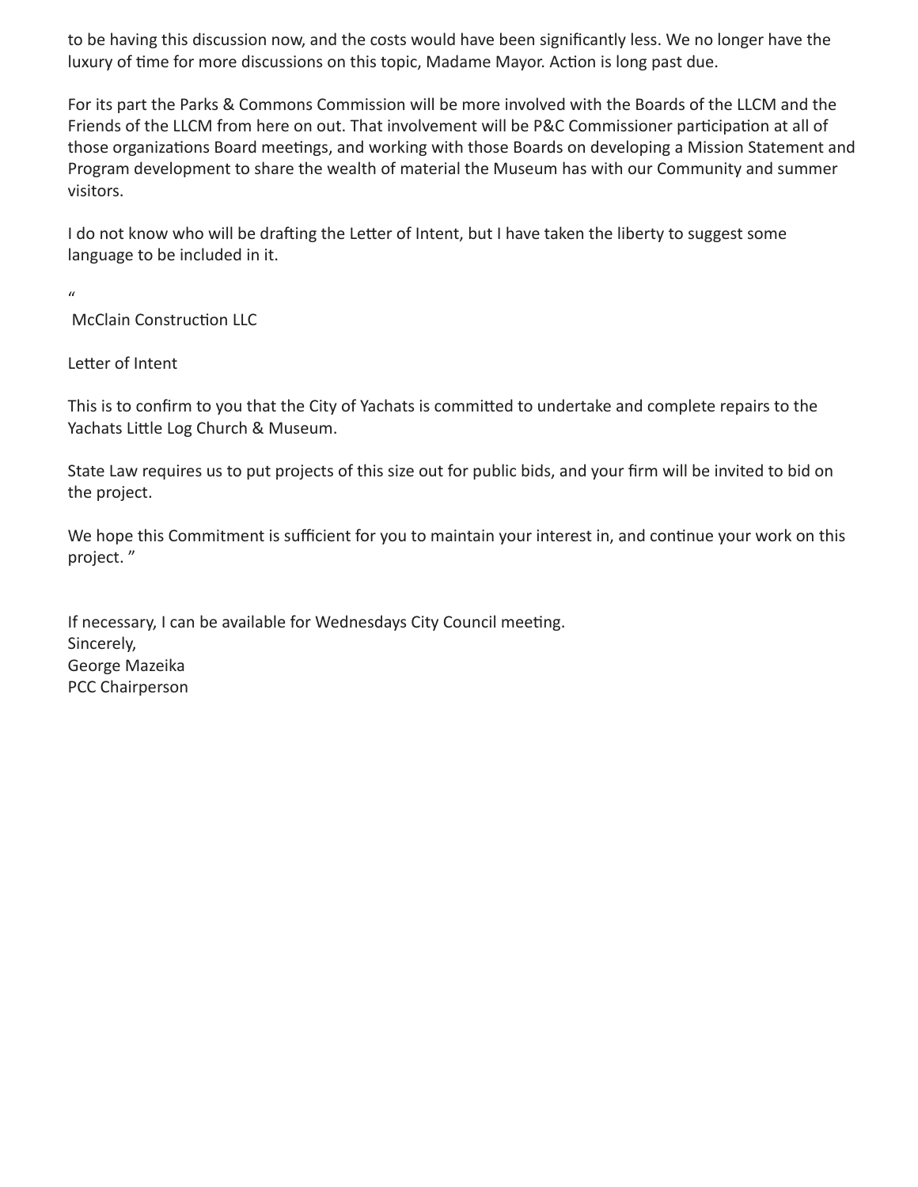to be having this discussion now, and the costs would have been significantly less. We no longer have the luxury of time for more discussions on this topic, Madame Mayor. Action is long past due.

For its part the Parks & Commons Commission will be more involved with the Boards of the LLCM and the Friends of the LLCM from here on out. That involvement will be P&C Commissioner participation at all of those organizations Board meetings, and working with those Boards on developing a Mission Statement and Program development to share the wealth of material the Museum has with our Community and summer visitors.

I do not know who will be drafting the Letter of Intent, but I have taken the liberty to suggest some language to be included in it.

 $\mathbf{u}$ 

McClain Construction LLC

Letter of Intent

This is to confirm to you that the City of Yachats is committed to undertake and complete repairs to the Yachats Little Log Church & Museum.

State Law requires us to put projects of this size out for public bids, and your firm will be invited to bid on the project.

We hope this Commitment is sufficient for you to maintain your interest in, and continue your work on this project."

If necessary, I can be available for Wednesdays City Council meeting. Sincerely, George Mazeika PCC Chairperson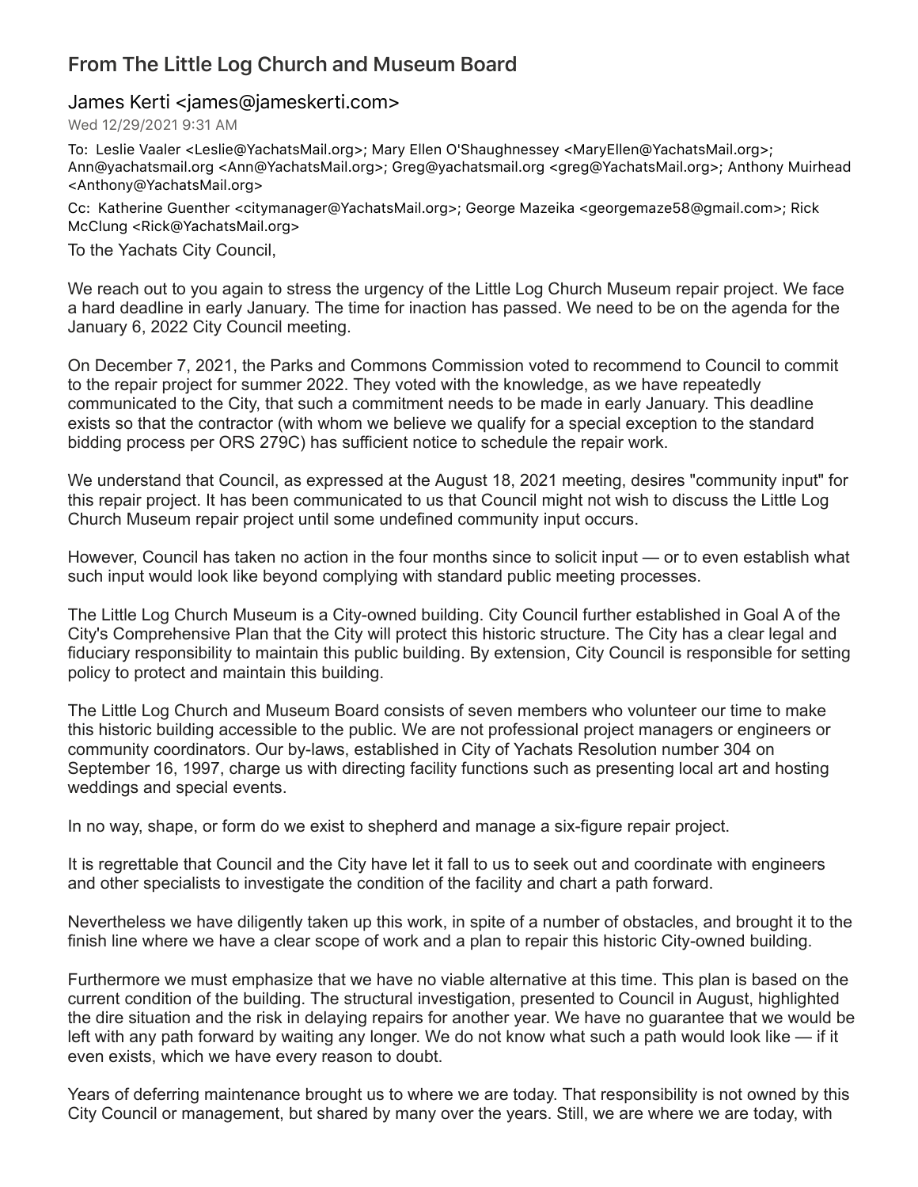# **From The Little Log Church and Museum Board**

### James Kerti <james@jameskerti.com>

Wed 12/29/2021 9:31 AM

To: Leslie Vaaler <Leslie@YachatsMail.org>; Mary Ellen O'Shaughnessey <MaryEllen@YachatsMail.org>; Ann@yachatsmail.org <Ann@YachatsMail.org>; Greg@yachatsmail.org <greg@YachatsMail.org>; Anthony Muirhead <Anthony@YachatsMail.org>

Cc: Katherine Guenther <citymanager@YachatsMail.org>; George Mazeika <georgemaze58@gmail.com>; Rick McClung <Rick@YachatsMail.org>

To the Yachats City Council,

We reach out to you again to stress the urgency of the Little Log Church Museum repair project. We face a hard deadline in early January. The time for inaction has passed. We need to be on the agenda for the January 6, 2022 City Council meeting.

On December 7, 2021, the Parks and Commons Commission voted to recommend to Council to commit to the repair project for summer 2022. They voted with the knowledge, as we have repeatedly communicated to the City, that such a commitment needs to be made in early January. This deadline exists so that the contractor (with whom we believe we qualify for a special exception to the standard bidding process per ORS 279C) has sufficient notice to schedule the repair work.

We understand that Council, as expressed at the August 18, 2021 meeting, desires "community input" for this repair project. It has been communicated to us that Council might not wish to discuss the Little Log Church Museum repair project until some undefined community input occurs.

However, Council has taken no action in the four months since to solicit input — or to even establish what such input would look like beyond complying with standard public meeting processes.

The Little Log Church Museum is a City-owned building. City Council further established in Goal A of the City's Comprehensive Plan that the City will protect this historic structure. The City has a clear legal and fiduciary responsibility to maintain this public building. By extension, City Council is responsible for setting policy to protect and maintain this building.

The Little Log Church and Museum Board consists of seven members who volunteer our time to make this historic building accessible to the public. We are not professional project managers or engineers or community coordinators. Our by-laws, established in City of Yachats Resolution number 304 on September 16, 1997, charge us with directing facility functions such as presenting local art and hosting weddings and special events.

In no way, shape, or form do we exist to shepherd and manage a six-figure repair project.

It is regrettable that Council and the City have let it fall to us to seek out and coordinate with engineers and other specialists to investigate the condition of the facility and chart a path forward.

Nevertheless we have diligently taken up this work, in spite of a number of obstacles, and brought it to the finish line where we have a clear scope of work and a plan to repair this historic City-owned building.

Furthermore we must emphasize that we have no viable alternative at this time. This plan is based on the current condition of the building. The structural investigation, presented to Council in August, highlighted the dire situation and the risk in delaying repairs for another year. We have no guarantee that we would be left with any path forward by waiting any longer. We do not know what such a path would look like — if it even exists, which we have every reason to doubt.

Years of deferring maintenance brought us to where we are today. That responsibility is not owned by this City Council or management, but shared by many over the years. Still, we are where we are today, with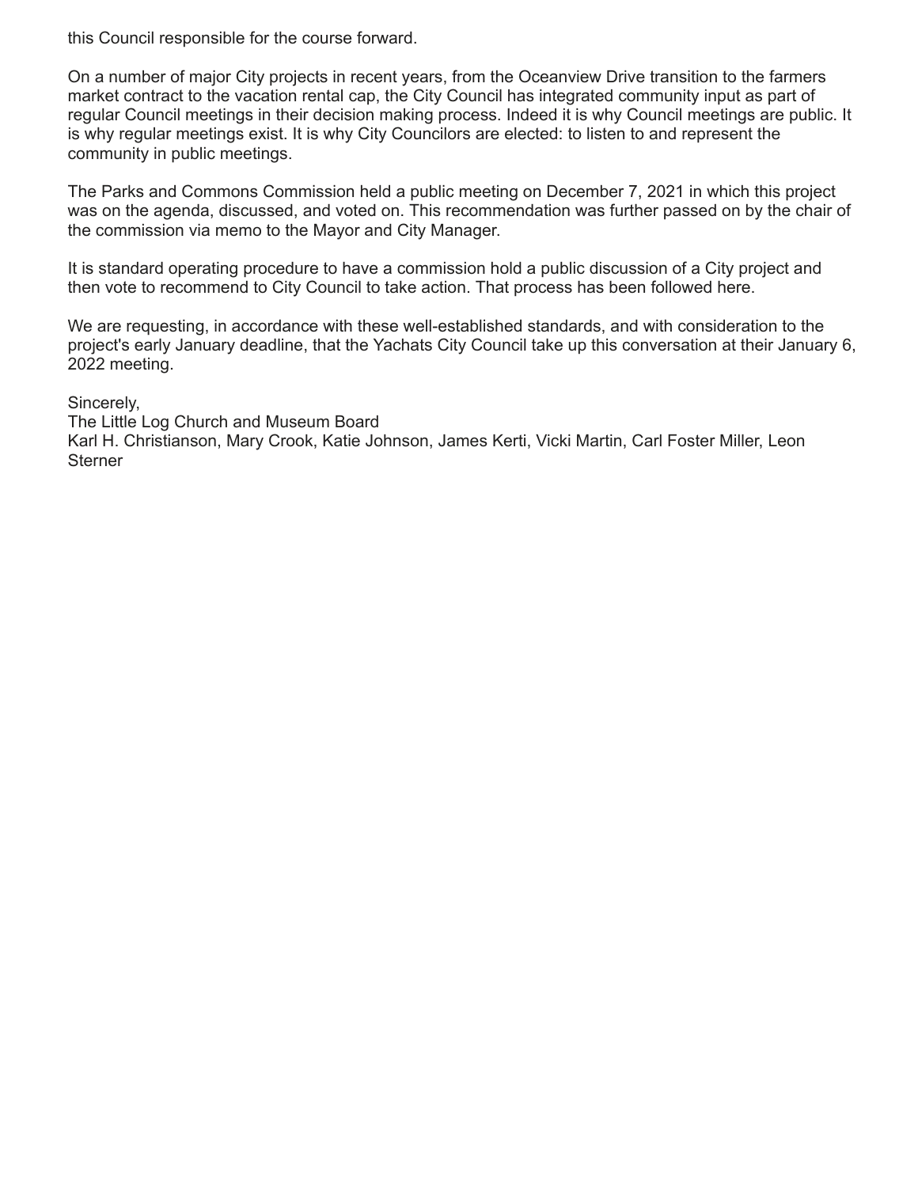this Council responsible for the course forward.

On a number of major City projects in recent years, from the Oceanview Drive transition to the farmers market contract to the vacation rental cap, the City Council has integrated community input as part of regular Council meetings in their decision making process. Indeed it is why Council meetings are public. It is why regular meetings exist. It is why City Councilors are elected: to listen to and represent the community in public meetings.

The Parks and Commons Commission held a public meeting on December 7, 2021 in which this project was on the agenda, discussed, and voted on. This recommendation was further passed on by the chair of the commission via memo to the Mayor and City Manager.

It is standard operating procedure to have a commission hold a public discussion of a City project and then vote to recommend to City Council to take action. That process has been followed here.

We are requesting, in accordance with these well-established standards, and with consideration to the project's early January deadline, that the Yachats City Council take up this conversation at their January 6, 2022 meeting.

Sincerely,

The Little Log Church and Museum Board Karl H. Christianson, Mary Crook, Katie Johnson, James Kerti, Vicki Martin, Carl Foster Miller, Leon **Sterner**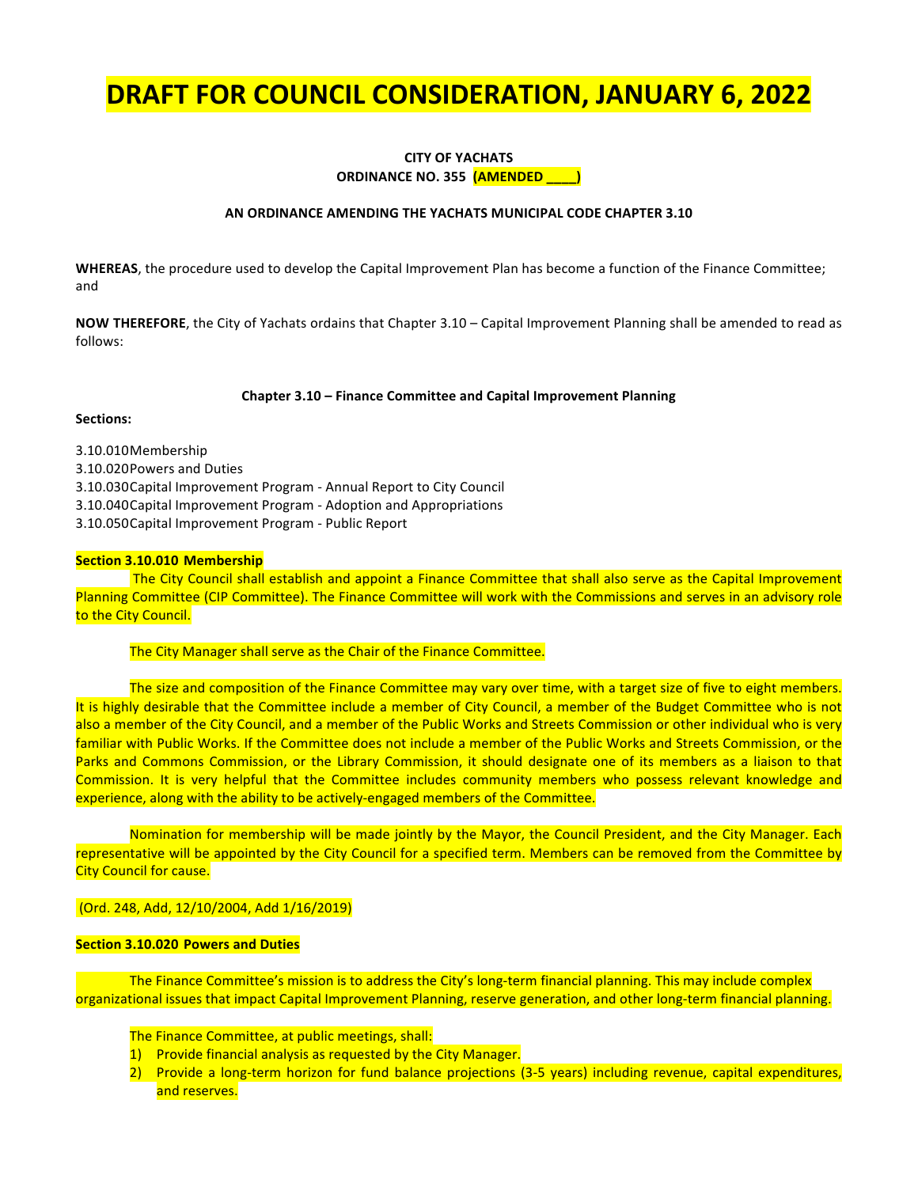# **DRAFT FOR COUNCIL CONSIDERATION, JANUARY 6, 2022**

#### **CITY OF YACHATS ORDINANCE NO. 355 (AMENDED**

#### **AN ORDINANCE AMENDING THE YACHATS MUNICIPAL CODE CHAPTER 3.10**

**WHEREAS**, the procedure used to develop the Capital Improvement Plan has become a function of the Finance Committee; and

**NOW THEREFORE**, the City of Yachats ordains that Chapter 3.10 – Capital Improvement Planning shall be amended to read as follows:

#### **Chapter 3.10 – Finance Committee and Capital Improvement Planning**

#### **Sections:**

3.10.010Membership 3.10.020Powers and Duties 3.10.030Capital Improvement Program - Annual Report to City Council 3.10.040 Capital Improvement Program - Adoption and Appropriations 3.10.050 Capital Improvement Program - Public Report

#### **Section 3.10.010 Membership**

The City Council shall establish and appoint a Finance Committee that shall also serve as the Capital Improvement Planning Committee (CIP Committee). The Finance Committee will work with the Commissions and serves in an advisory role to the City Council.

#### The City Manager shall serve as the Chair of the Finance Committee.

The size and composition of the Finance Committee may vary over time, with a target size of five to eight members. It is highly desirable that the Committee include a member of City Council, a member of the Budget Committee who is not also a member of the City Council, and a member of the Public Works and Streets Commission or other individual who is very familiar with Public Works. If the Committee does not include a member of the Public Works and Streets Commission, or the Parks and Commons Commission, or the Library Commission, it should designate one of its members as a liaison to that Commission. It is very helpful that the Committee includes community members who possess relevant knowledge and experience, along with the ability to be actively-engaged members of the Committee.

Nomination for membership will be made jointly by the Mayor, the Council President, and the City Manager. Each representative will be appointed by the City Council for a specified term. Members can be removed from the Committee by **City Council for cause.** 

#### (Ord. 248, Add, 12/10/2004, Add 1/16/2019)

#### **Section 3.10.020 Powers and Duties**

The Finance Committee's mission is to address the City's long-term financial planning. This may include complex organizational issues that impact Capital Improvement Planning, reserve generation, and other long-term financial planning.

The Finance Committee, at public meetings, shall:

- 1) Provide financial analysis as requested by the City Manager.
- 2) Provide a long-term horizon for fund balance projections (3-5 years) including revenue, capital expenditures, and reserves.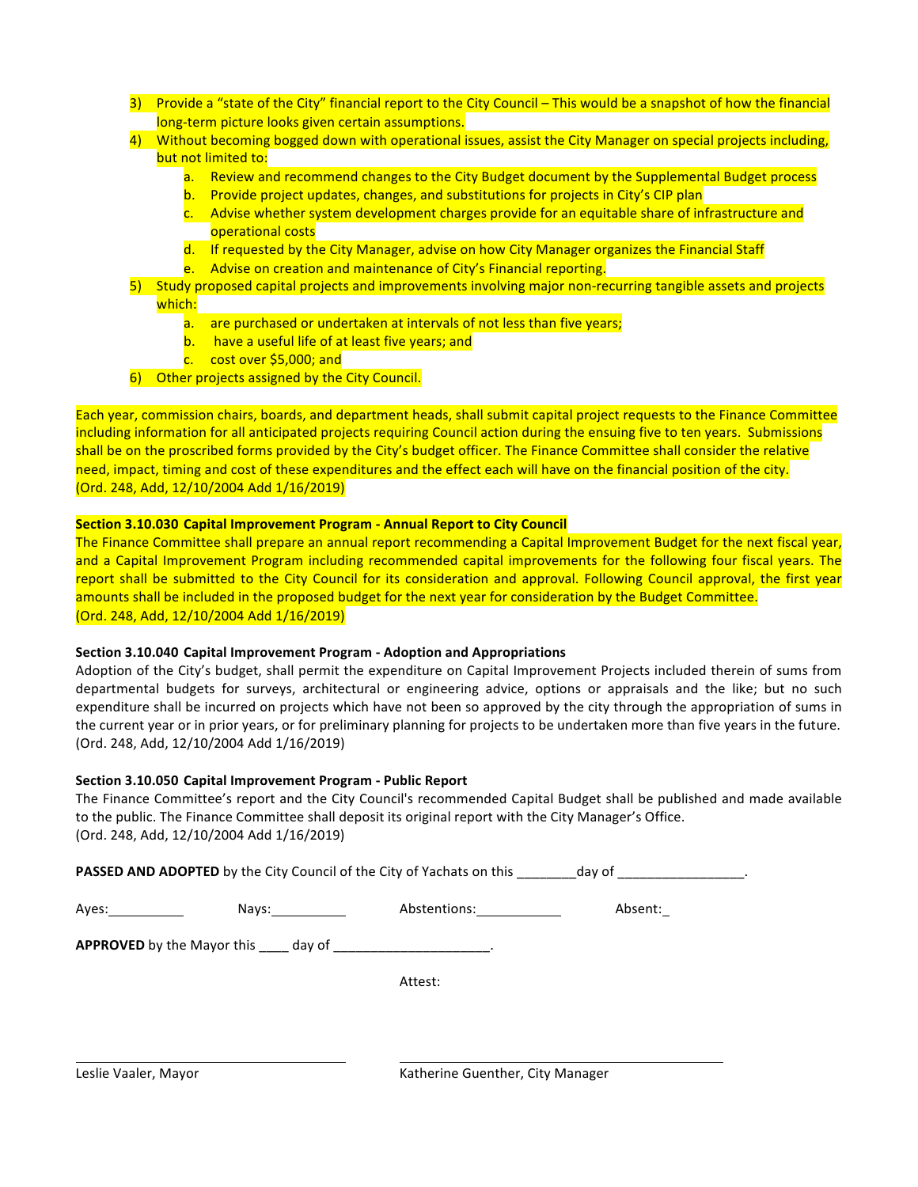- 3) Provide a "state of the City" financial report to the City Council This would be a snapshot of how the financial long-term picture looks given certain assumptions.
- 4) Without becoming bogged down with operational issues, assist the City Manager on special projects including, but not limited to:
	- a. Review and recommend changes to the City Budget document by the Supplemental Budget process
	- b. Provide project updates, changes, and substitutions for projects in City's CIP plan
	- c. Advise whether system development charges provide for an equitable share of infrastructure and operational costs
	- d. If requested by the City Manager, advise on how City Manager organizes the Financial Staff
	- e. Advise on creation and maintenance of City's Financial reporting.
- 5) Study proposed capital projects and improvements involving major non-recurring tangible assets and projects which:
	- a. are purchased or undertaken at intervals of not less than five years;
	- b. have a useful life of at least five years; and
	- c.  $\cot \omega$  cost over \$5,000; and
- 6) Other projects assigned by the City Council.

Each year, commission chairs, boards, and department heads, shall submit capital project requests to the Finance Committee including information for all anticipated projects requiring Council action during the ensuing five to ten years. Submissions shall be on the proscribed forms provided by the City's budget officer. The Finance Committee shall consider the relative need, impact, timing and cost of these expenditures and the effect each will have on the financial position of the city. (Ord. 248, Add, 12/10/2004 Add 1/16/2019)

#### **Section 3.10.030 Capital Improvement Program - Annual Report to City Council**

The Finance Committee shall prepare an annual report recommending a Capital Improvement Budget for the next fiscal year, and a Capital Improvement Program including recommended capital improvements for the following four fiscal years. The report shall be submitted to the City Council for its consideration and approval. Following Council approval, the first year amounts shall be included in the proposed budget for the next year for consideration by the Budget Committee. (Ord. 248, Add, 12/10/2004 Add 1/16/2019)

#### **Section 3.10.040 Capital Improvement Program - Adoption and Appropriations**

Adoption of the City's budget, shall permit the expenditure on Capital Improvement Projects included therein of sums from departmental budgets for surveys, architectural or engineering advice, options or appraisals and the like; but no such expenditure shall be incurred on projects which have not been so approved by the city through the appropriation of sums in the current year or in prior years, or for preliminary planning for projects to be undertaken more than five years in the future. (Ord. 248, Add, 12/10/2004 Add 1/16/2019)

#### **Section 3.10.050 Capital Improvement Program - Public Report**

The Finance Committee's report and the City Council's recommended Capital Budget shall be published and made available to the public. The Finance Committee shall deposit its original report with the City Manager's Office. (Ord. 248, Add, 12/10/2004 Add 1/16/2019)

PASSED AND ADOPTED by the City Council of the City of Yachats on this \_\_\_\_\_\_\_day of \_\_\_\_\_\_\_\_\_\_\_\_\_\_\_\_\_\_.

Ayes: Nays: Nays: Abstentions: Absent:

**APPROVED** by the Mayor this \_\_\_\_ day of \_\_\_\_\_\_\_\_\_\_\_\_\_\_\_\_\_\_\_\_\_.

Attest: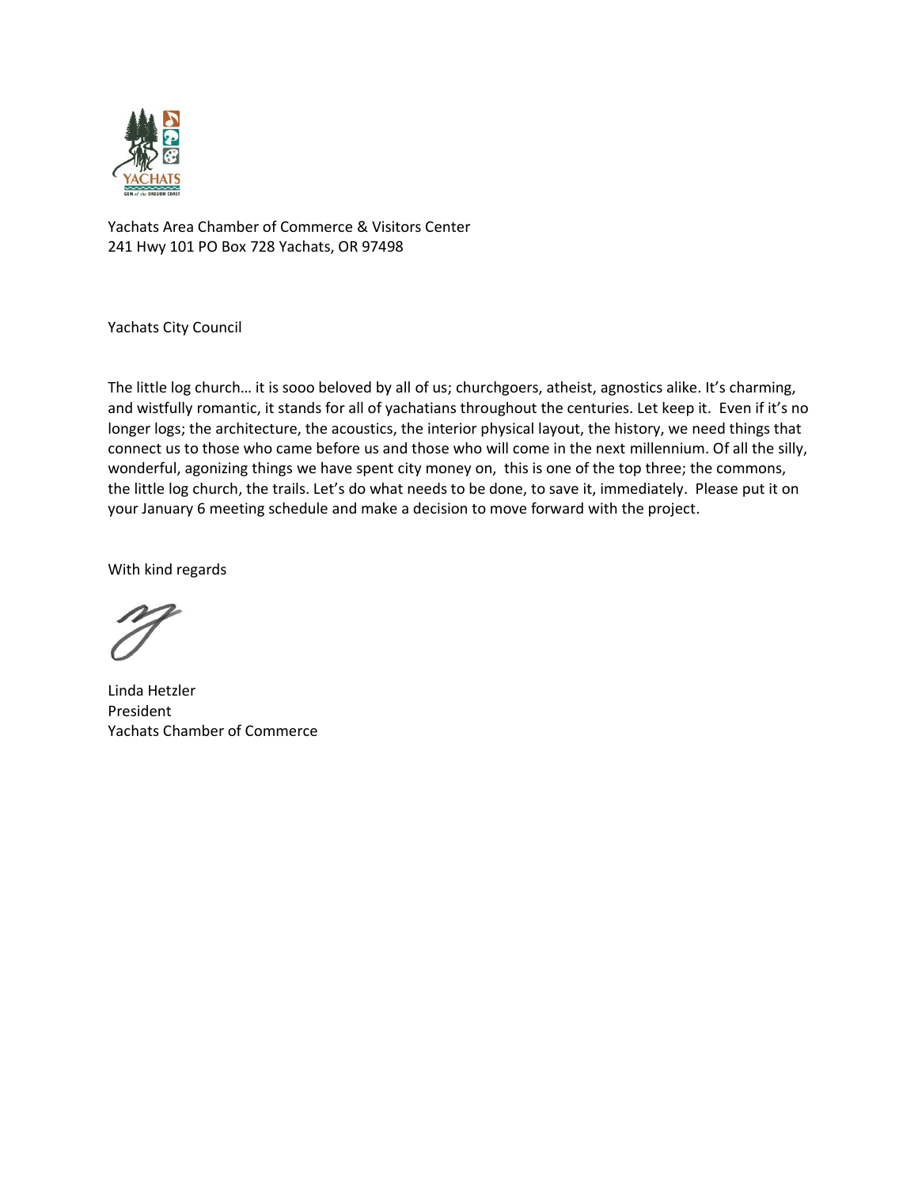

Yachats Area Chamber of Commerce & Visitors Center 241 Hwy 101 PO Box 728 Yachats, OR 97498

Yachats City Council

The little log church… it is sooo beloved by all of us; churchgoers, atheist, agnostics alike. It's charming, and wistfully romantic, it stands for all of yachatians throughout the centuries. Let keep it. Even if it's no longer logs; the architecture, the acoustics, the interior physical layout, the history, we need things that connect us to those who came before us and those who will come in the next millennium. Of all the silly, wonderful, agonizing things we have spent city money on, this is one of the top three; the commons, the little log church, the trails. Let's do what needs to be done, to save it, immediately. Please put it on your January 6 meeting schedule and make a decision to move forward with the project.

With kind regards

Linda Hetzler President Yachats Chamber of Commerce